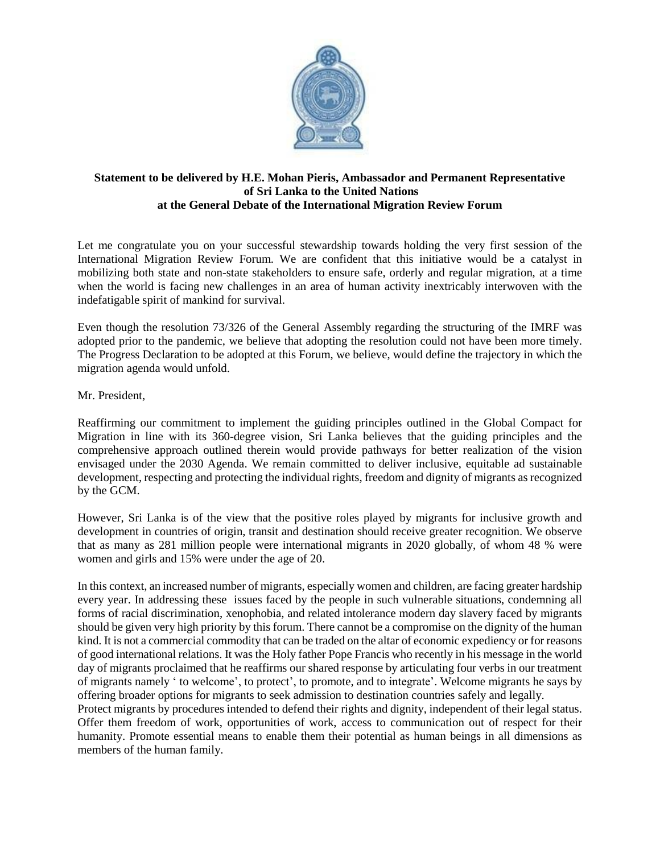

## **Statement to be delivered by H.E. Mohan Pieris, Ambassador and Permanent Representative of Sri Lanka to the United Nations at the General Debate of the International Migration Review Forum**

Let me congratulate you on your successful stewardship towards holding the very first session of the International Migration Review Forum. We are confident that this initiative would be a catalyst in mobilizing both state and non-state stakeholders to ensure safe, orderly and regular migration, at a time when the world is facing new challenges in an area of human activity inextricably interwoven with the indefatigable spirit of mankind for survival.

Even though the resolution 73/326 of the General Assembly regarding the structuring of the IMRF was adopted prior to the pandemic, we believe that adopting the resolution could not have been more timely. The Progress Declaration to be adopted at this Forum, we believe, would define the trajectory in which the migration agenda would unfold.

Mr. President,

Reaffirming our commitment to implement the guiding principles outlined in the Global Compact for Migration in line with its 360-degree vision, Sri Lanka believes that the guiding principles and the comprehensive approach outlined therein would provide pathways for better realization of the vision envisaged under the 2030 Agenda. We remain committed to deliver inclusive, equitable ad sustainable development, respecting and protecting the individual rights, freedom and dignity of migrants as recognized by the GCM.

However, Sri Lanka is of the view that the positive roles played by migrants for inclusive growth and development in countries of origin, transit and destination should receive greater recognition. We observe that as many as 281 million people were international migrants in 2020 globally, of whom 48 % were women and girls and 15% were under the age of 20.

In this context, an increased number of migrants, especially women and children, are facing greater hardship every year. In addressing these issues faced by the people in such vulnerable situations, condemning all forms of racial discrimination, xenophobia, and related intolerance modern day slavery faced by migrants should be given very high priority by this forum. There cannot be a compromise on the dignity of the human kind. It is not a commercial commodity that can be traded on the altar of economic expediency or for reasons of good international relations. It was the Holy father Pope Francis who recently in his message in the world day of migrants proclaimed that he reaffirms our shared response by articulating four verbs in our treatment of migrants namely ' to welcome', to protect', to promote, and to integrate'. Welcome migrants he says by offering broader options for migrants to seek admission to destination countries safely and legally.

Protect migrants by procedures intended to defend their rights and dignity, independent of their legal status. Offer them freedom of work, opportunities of work, access to communication out of respect for their humanity. Promote essential means to enable them their potential as human beings in all dimensions as members of the human family.